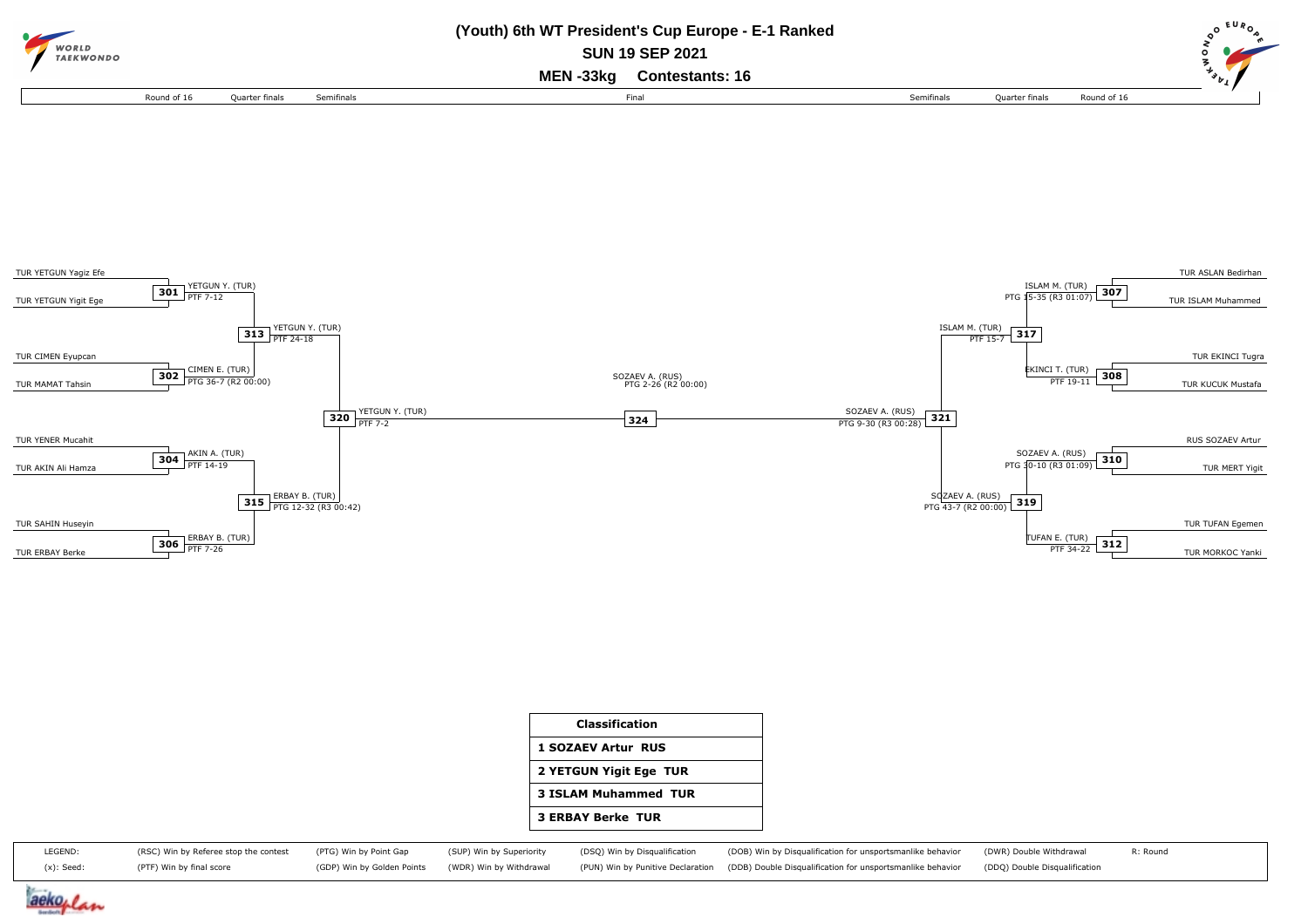



| <b>Classification</b>       |
|-----------------------------|
| <b>1 SOZAEV Artur RUS</b>   |
| 2 YETGUN Yigit Ege TUR      |
| <b>3 ISLAM Muhammed TUR</b> |
| <b>3 ERBAY Berke TUR</b>    |

| LEGEND:    | (RSC) Win by Referee stop the contest (PTG) Win by Point Gap |                                                    |  | (SUP) Win by Superiority (DSQ) Win by Disqualification (DOB) Win by Disqualification for unsportsmanlike behavior (DWR) Double Withdrawal | R: Round |
|------------|--------------------------------------------------------------|----------------------------------------------------|--|-------------------------------------------------------------------------------------------------------------------------------------------|----------|
| (x): Seed: | (PTF) Win by final score                                     | (GDP) Win by Golden Points (WDR) Win by Withdrawal |  | PUN) Win by Punitive Declaration (DDB) Double Disqualification for unsportsmanlike behavior (DDQ) Double Disqualification                 |          |

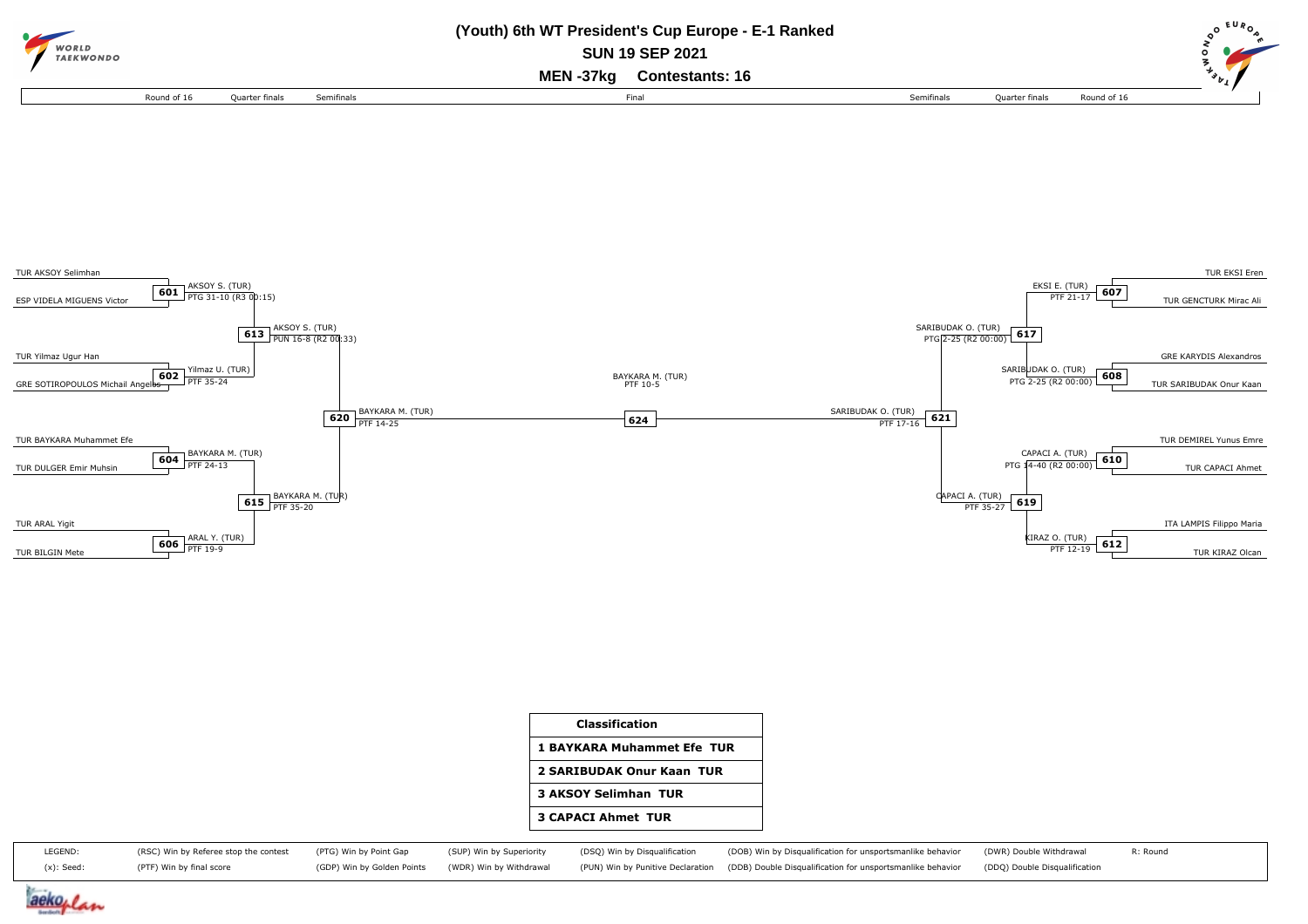



| Classification              |
|-----------------------------|
| 1 BAYKARA Muhammet Efe TUR  |
| 2 SARIBUDAK Onur Kaan TUR   |
| <b>3 AKSOY Selimhan TUR</b> |
| <b>3 CAPACI Ahmet TUR</b>   |
|                             |

| LEGEND:    | (RSC) Win by Referee stop the contest (PTG) Win by Point Gap (SUP) Win by Superiority (DSQ) Win by Disqualification |  | (DOB) Win by Disqualification for unsportsmanlike behavior (DWR) Double Withdrawal                                                                                            | R: Round |
|------------|---------------------------------------------------------------------------------------------------------------------|--|-------------------------------------------------------------------------------------------------------------------------------------------------------------------------------|----------|
| (x): Seed: | (PTF) Win by final score                                                                                            |  | (GDP) Win by Golden Points (WDR) Win by Withdrawal (PUN) Win by Punitive Declaration (DDB) Double Disqualification for unsportsmanlike behavior (DDQ) Double Disqualification |          |

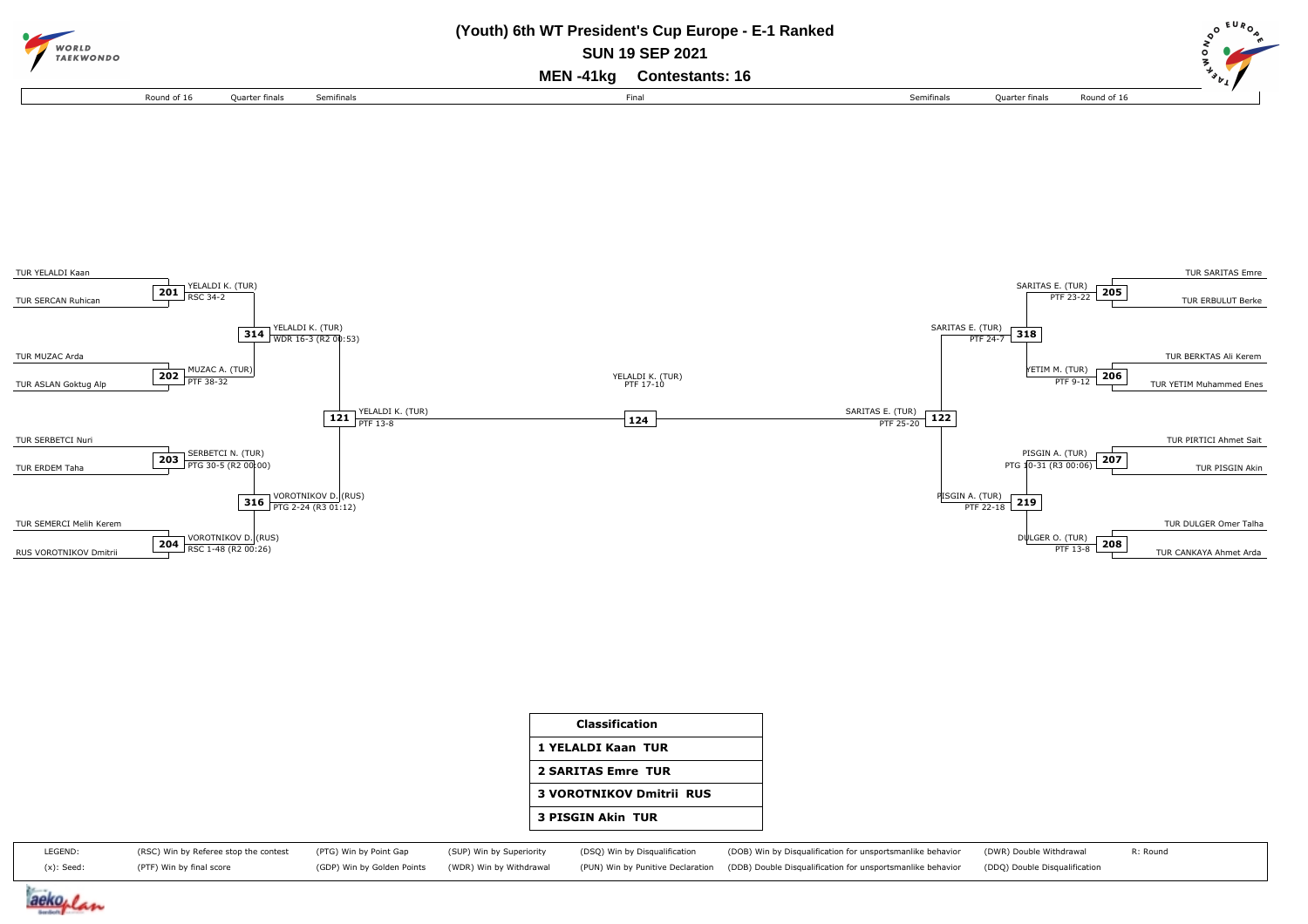



| 1 YELALDI Kaan TUR              |
|---------------------------------|
| <b>2 SARITAS Emre TUR</b>       |
| <b>3 VOROTNIKOV Dmitrii RUS</b> |
| <b>3 PISGIN Akin TUR</b>        |

| LEGEND:    |                          |  | (RSC) Win by Referee stop the contest (PTG) Win by Point Gap (SUP) Win by Superiority (DSQ) Win by Disqualification (DOB) Win by Disqualification for unsportsmanlike behavior (DWR) Double Withdrawal | R: Round |
|------------|--------------------------|--|--------------------------------------------------------------------------------------------------------------------------------------------------------------------------------------------------------|----------|
| (x): Seed: | (PTF) Win by final score |  | (GDP) Win by Golden Points (WDR) Win by Withdrawal (PUN) Win by Punitive Declaration (DDB) Double Disqualification for unsportsmanlike behavior (DDQ) Double Disqualification                          |          |

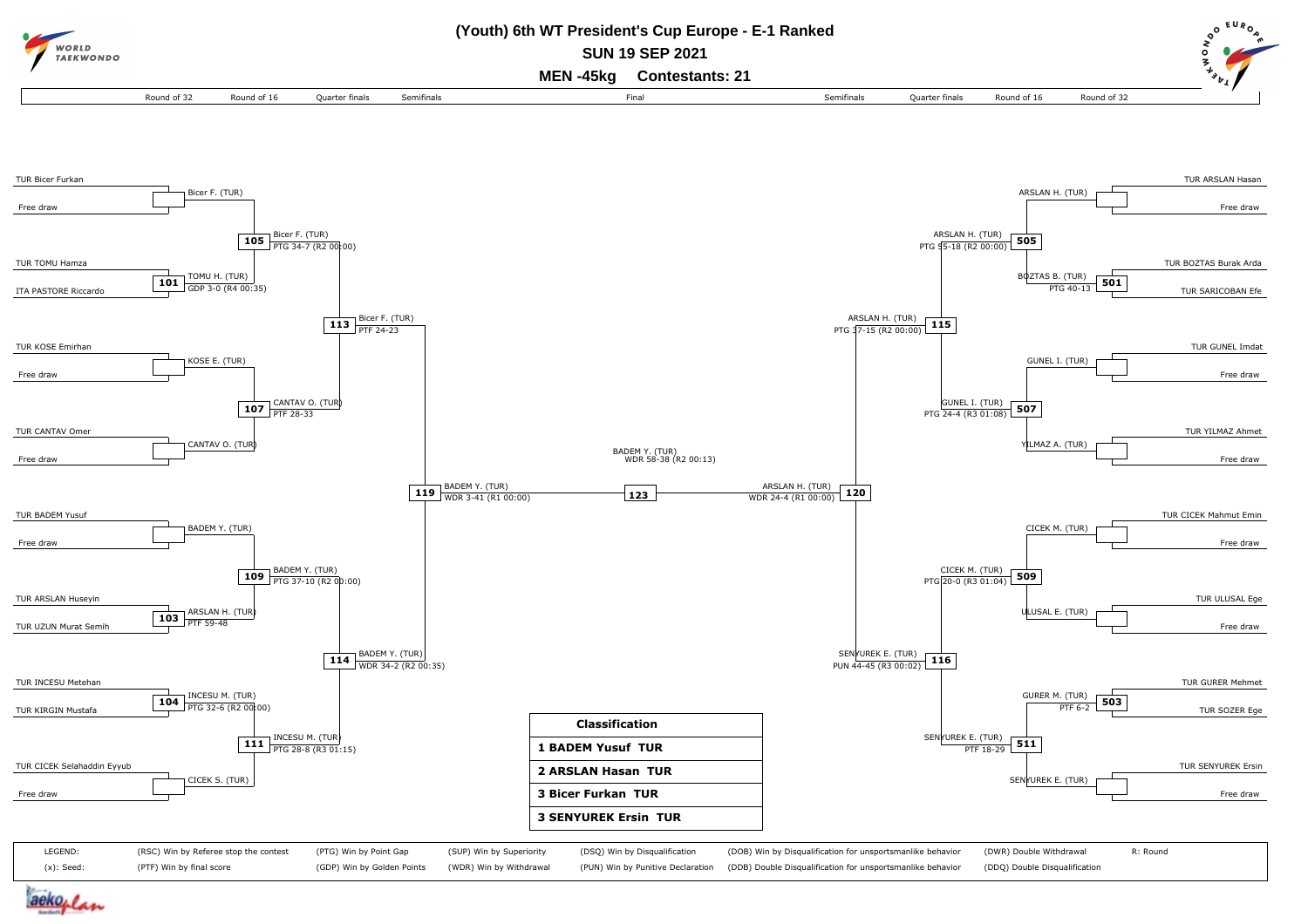

aekoplan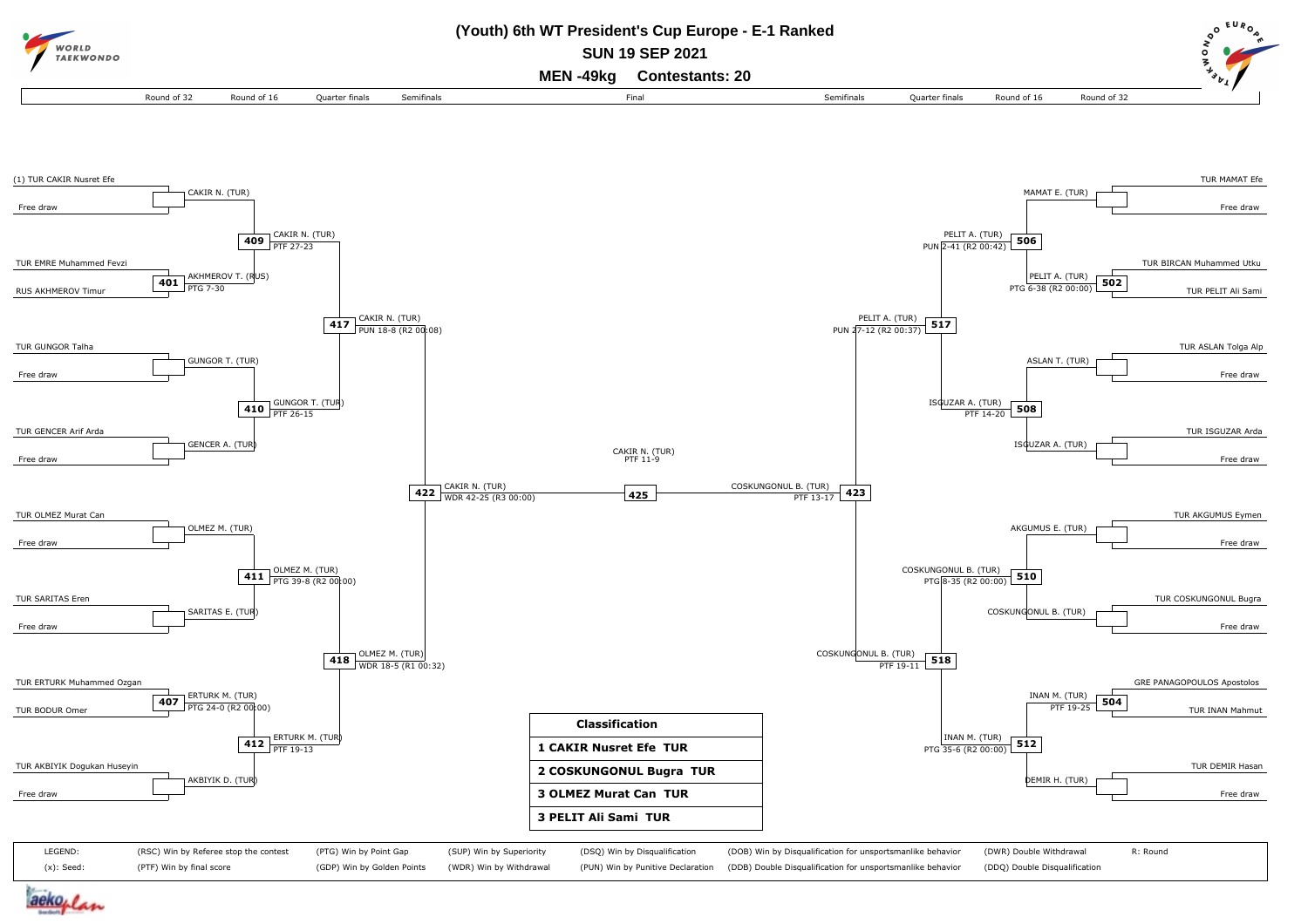

aekoplan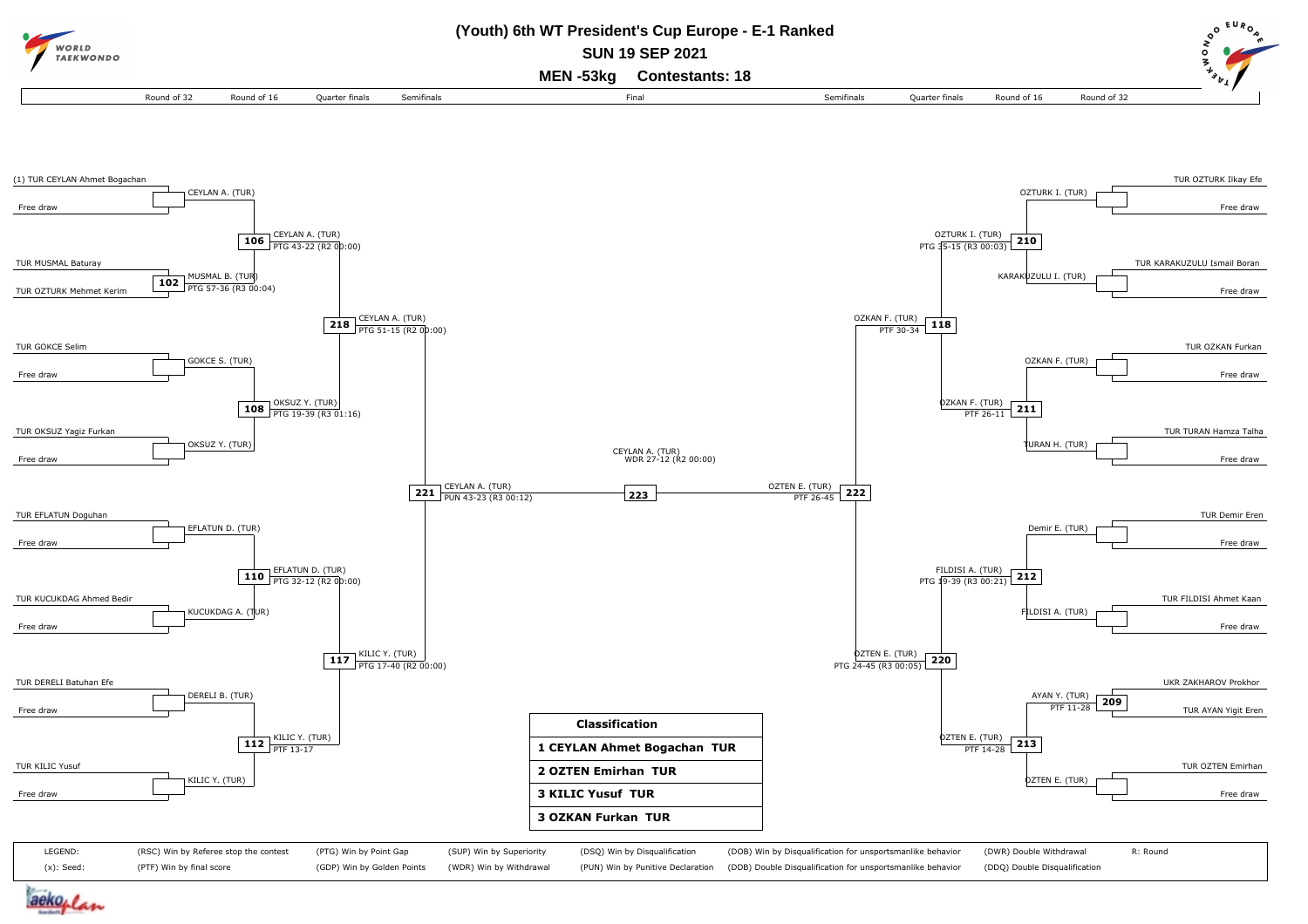

aekoplan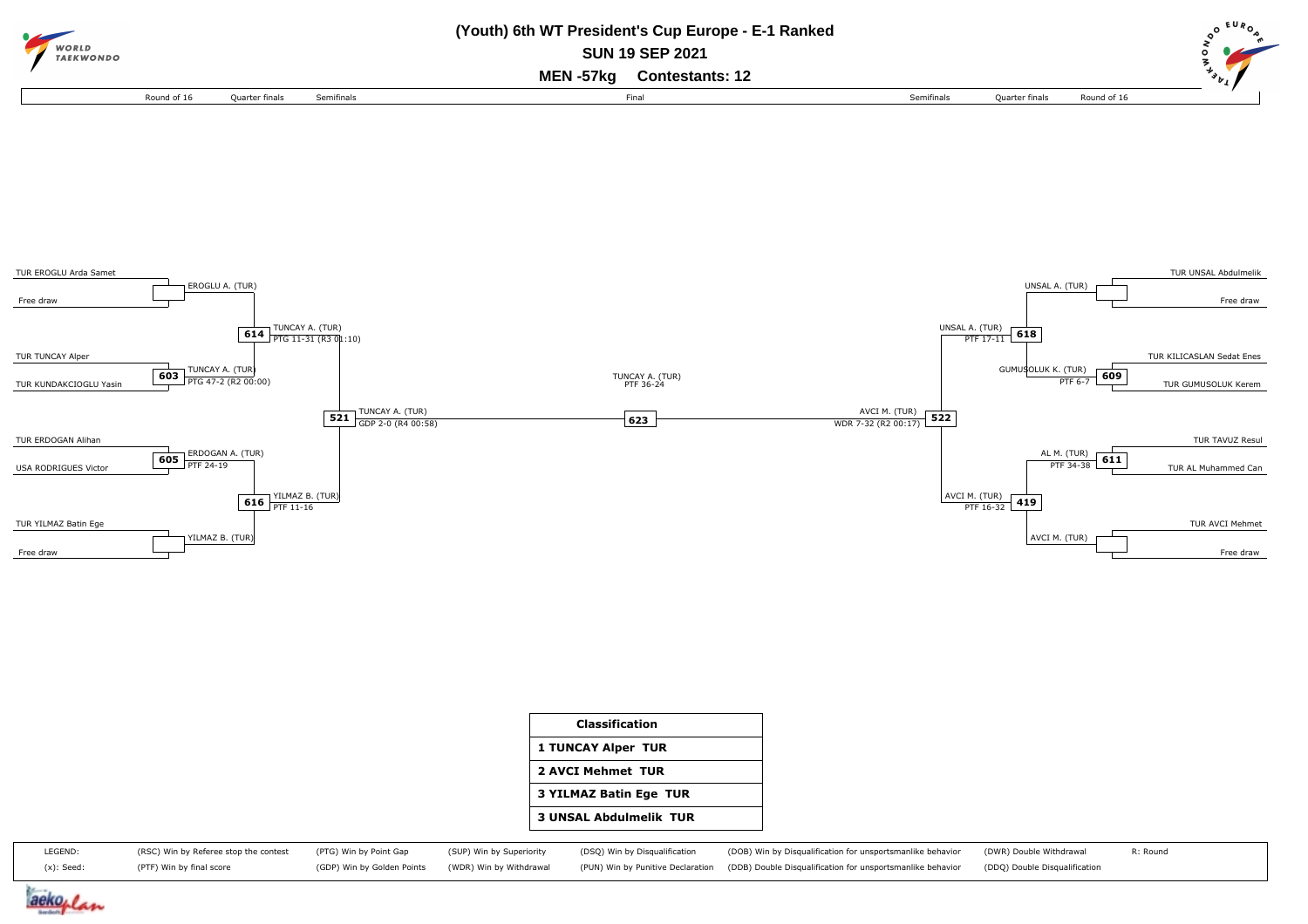



| Classification                |
|-------------------------------|
| <b>1 TUNCAY Alper TUR</b>     |
| 2 AVCI Mehmet TUR             |
| <b>3 YILMAZ Batin Ege TUR</b> |
| <b>3 UNSAL Abdulmelik TUR</b> |
|                               |

| LEGEND:       | (RSC) Win by Referee stop the contest (PTG) Win by Point Gap |  | (SUP) Win by Superiority (DSQ) Win by Disqualification | (DOB) Win by Disqualification for unsportsmanlike behavior (DWR) Double Withdrawal                                                                                            | R: Round |
|---------------|--------------------------------------------------------------|--|--------------------------------------------------------|-------------------------------------------------------------------------------------------------------------------------------------------------------------------------------|----------|
| $(x)$ : Seed: | (PTF) Win by final score                                     |  |                                                        | (GDP) Win by Golden Points (WDR) Win by Withdrawal (PUN) Win by Punitive Declaration (DDB) Double Disqualification for unsportsmanlike behavior (DDQ) Double Disqualification |          |

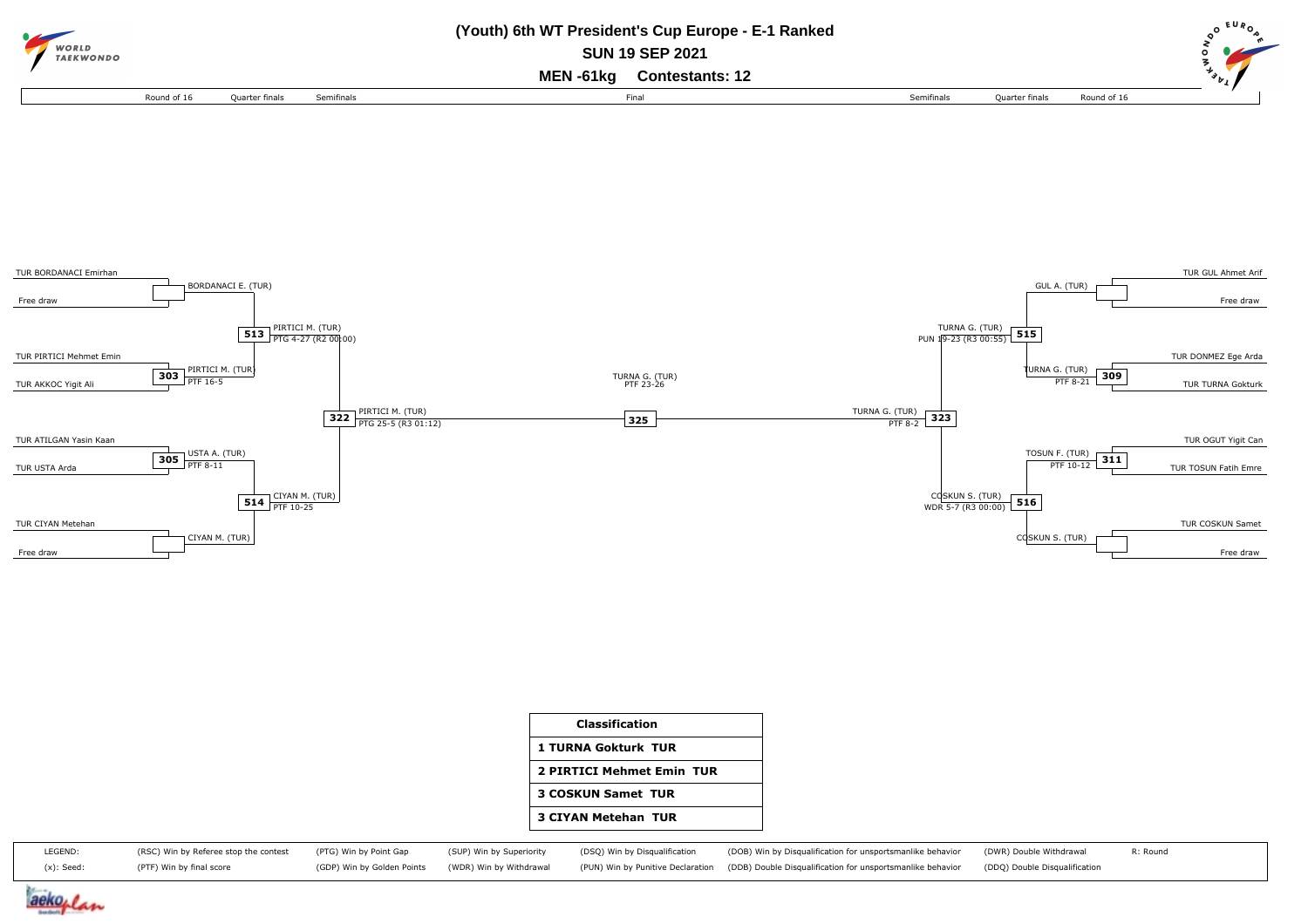



| <b>Classification</b>      |
|----------------------------|
| 1 TURNA Gokturk TUR        |
| 2 PIRTICI Mehmet Emin TUR  |
| <b>3 COSKUN Samet TUR</b>  |
| <b>3 CIYAN Metehan TUR</b> |

| LEGEND:       | (RSC) Win by Referee stop the contest (PTG) Win by Point Gap |  | (SUP) Win by Superiority (DSQ) Win by Disqualification | (DOB) Win by Disqualification for unsportsmanlike behavior (DWR) Double Withdrawal                                                                                            | R: Round |
|---------------|--------------------------------------------------------------|--|--------------------------------------------------------|-------------------------------------------------------------------------------------------------------------------------------------------------------------------------------|----------|
| $(x)$ : Seed: | (PTF) Win by final score                                     |  |                                                        | (GDP) Win by Golden Points (WDR) Win by Withdrawal (PUN) Win by Punitive Declaration (DDB) Double Disqualification for unsportsmanlike behavior (DDQ) Double Disqualification |          |

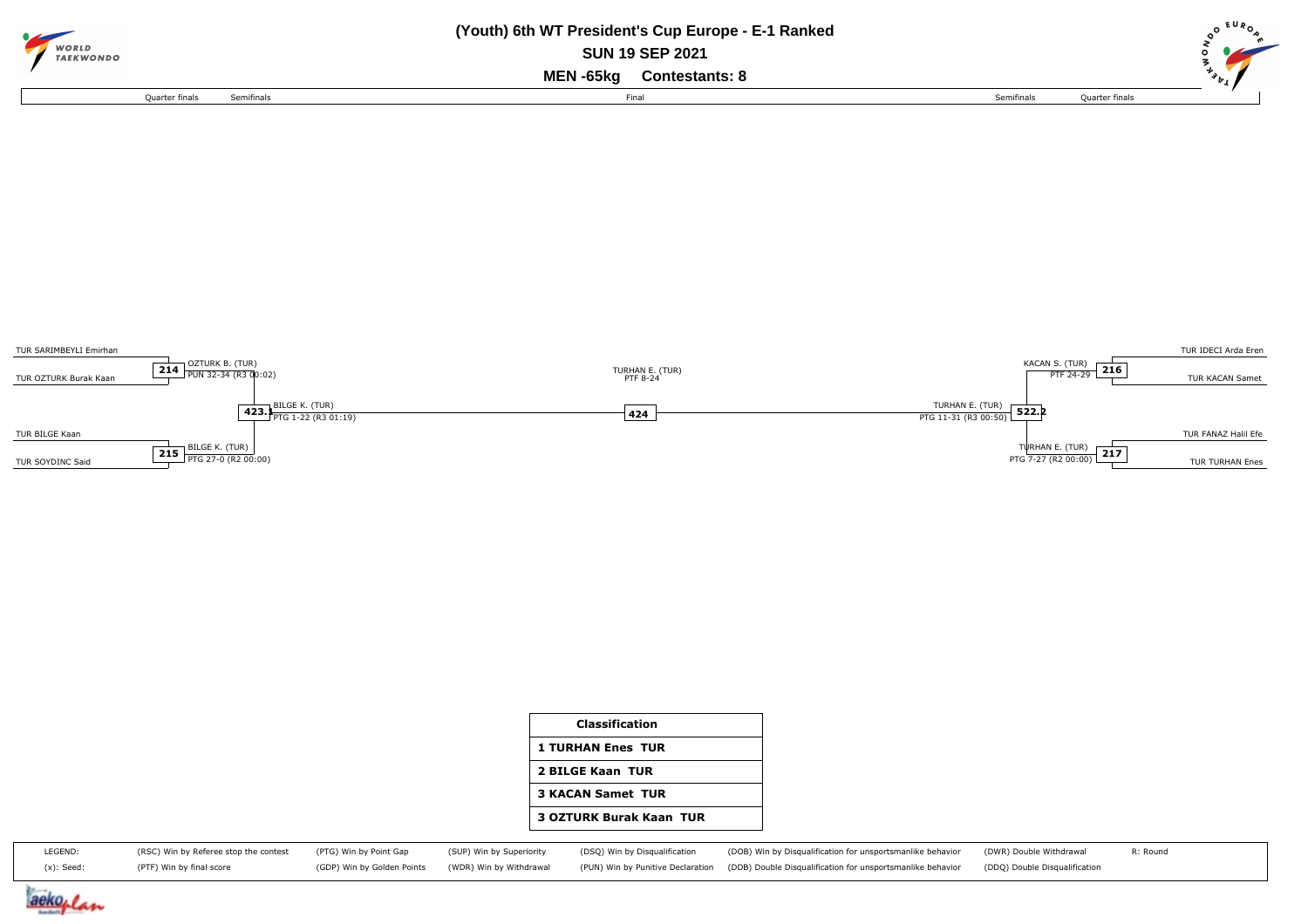| WORLD<br><b><i>TAEKWONDO</i></b> |            | (Youth) 6th WT President's Cup Europe - E-1 Ranked<br><b>SUN 19 SEP 2021</b><br>MEN -65kg<br><b>Contestants: 8</b> |            |                | <b>EUR</b> |
|----------------------------------|------------|--------------------------------------------------------------------------------------------------------------------|------------|----------------|------------|
| Ouarter finals                   | Semifinals | Final                                                                                                              | Semifinals | Quarter finals |            |



| <b>Classification</b>          |
|--------------------------------|
| <b>1 TURHAN Enes TUR</b>       |
| 2 BILGE Kaan TUR               |
| <b>3 KACAN Samet TUR</b>       |
| <b>3 OZTURK Burak Kaan TUR</b> |
|                                |

| LEGEND:    | (RSC) Win by Referee stop the contest (PTG) Win by Point Gap (SUP) Win by Superiority (DSQ) Win by Disqualification |  | (DOB) Win by Disqualification for unsportsmanlike behavior (DWR) Double Withdrawal                                                                                            | R: Round |
|------------|---------------------------------------------------------------------------------------------------------------------|--|-------------------------------------------------------------------------------------------------------------------------------------------------------------------------------|----------|
| (x): Seed: | (PTF) Win by final score                                                                                            |  | (GDP) Win by Golden Points (WDR) Win by Withdrawal (PUN) Win by Punitive Declaration (DDB) Double Disqualification for unsportsmanlike behavior (DDQ) Double Disqualification |          |